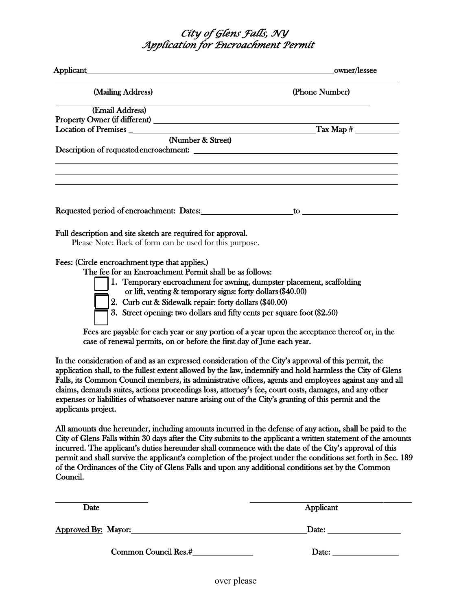## *City of Glens Falls, NY Application for Encroachment Permit*

| Applicant                                                                                                                                                                                                                                                                                                                                                                                                                                                                                                                                                               | owner/lessee                          |
|-------------------------------------------------------------------------------------------------------------------------------------------------------------------------------------------------------------------------------------------------------------------------------------------------------------------------------------------------------------------------------------------------------------------------------------------------------------------------------------------------------------------------------------------------------------------------|---------------------------------------|
| (Mailing Address)                                                                                                                                                                                                                                                                                                                                                                                                                                                                                                                                                       | (Phone Number)                        |
| (Email Address)                                                                                                                                                                                                                                                                                                                                                                                                                                                                                                                                                         |                                       |
|                                                                                                                                                                                                                                                                                                                                                                                                                                                                                                                                                                         |                                       |
| Location of Premises<br><u> 1980 - Johann Barn, mars eta bainar eta baina eta baina eta baina eta baina eta baina eta baina eta baina e</u>                                                                                                                                                                                                                                                                                                                                                                                                                             | $\frac{1}{2}$ Tax Map #               |
| (Number & Street)                                                                                                                                                                                                                                                                                                                                                                                                                                                                                                                                                       |                                       |
|                                                                                                                                                                                                                                                                                                                                                                                                                                                                                                                                                                         |                                       |
|                                                                                                                                                                                                                                                                                                                                                                                                                                                                                                                                                                         |                                       |
|                                                                                                                                                                                                                                                                                                                                                                                                                                                                                                                                                                         | $\mathbf{to}$ $\overline{\phantom{}}$ |
| Full description and site sketch are required for approval.<br>Please Note: Back of form can be used for this purpose.                                                                                                                                                                                                                                                                                                                                                                                                                                                  |                                       |
| Fees: (Circle encroachment type that applies.)<br>The fee for an Encroachment Permit shall be as follows:<br>1. Temporary encroachment for awning, dumpster placement, scaffolding<br>or lift, venting & temporary signs: forty dollars (\$40.00)<br>2. Curb cut & Sidewalk repair: forty dollars (\$40.00)<br>3. Street opening: two dollars and fifty cents per square foot (\$2.50)                                                                                                                                                                                  |                                       |
| Fees are payable for each year or any portion of a year upon the acceptance thereof or, in the<br>case of renewal permits, on or before the first day of June each year.                                                                                                                                                                                                                                                                                                                                                                                                |                                       |
| In the consideration of and as an expressed consideration of the City's approval of this permit, the<br>application shall, to the fullest extent allowed by the law, indemnify and hold harmless the City of Glens<br>Falls, its Common Council members, its administrative offices, agents and employees against any and all<br>claims, demands suites, actions proceedings loss, attorney's fee, court costs, damages, and any other<br>expenses or liabilities of whatsoever nature arising out of the City's granting of this permit and the<br>applicants project. |                                       |
| All amounts due hereunder, including amounts incurred in the defense of any action, shall be paid to the<br>City of Glens Falls within 30 days after the City submits to the applicant a written statement of the amounts<br>incurred. The applicant's duties hereunder shall commence with the date of the City's approval of this<br>permit and shall survive the applicant's completion of the project under the conditions set forth in Sec. 189<br>of the Ordinances of the City of Glens Falls and upon any additional conditions set by the Common<br>Council.   |                                       |

| Date                       | Applicant |
|----------------------------|-----------|
| <b>Approved By: Mayor:</b> | Date:     |
| Common Council Res.#       | Date:     |